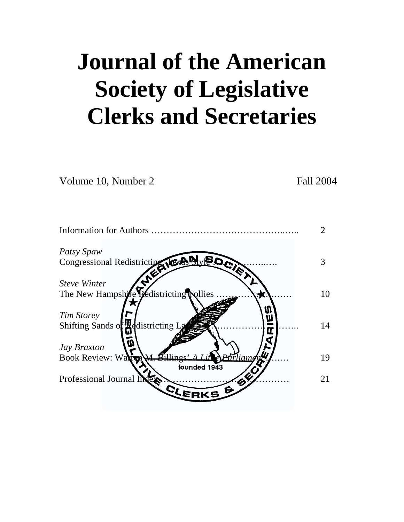# **Journal of the American Society of Legislative Clerks and Secretaries**

Volume 10, Number 2 Fall 2004

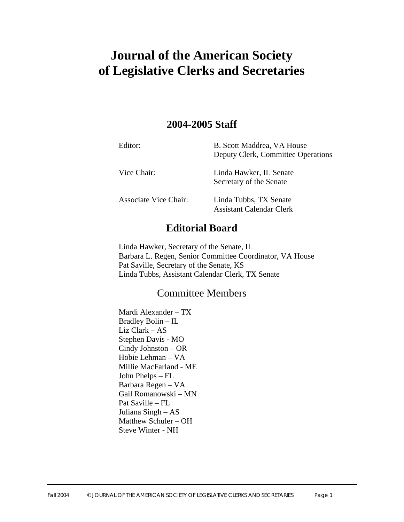# **Journal of the American Society of Legislative Clerks and Secretaries**

# **2004-2005 Staff**

| Editor:                      | B. Scott Maddrea, VA House<br>Deputy Clerk, Committee Operations |
|------------------------------|------------------------------------------------------------------|
| Vice Chair:                  | Linda Hawker, IL Senate<br>Secretary of the Senate               |
| <b>Associate Vice Chair:</b> | Linda Tubbs, TX Senate<br>Assistant Calendar Clerk               |

# **Editorial Board**

Linda Hawker, Secretary of the Senate, IL Barbara L. Regen, Senior Committee Coordinator, VA House Pat Saville, Secretary of the Senate, KS Linda Tubbs, Assistant Calendar Clerk, TX Senate

# Committee Members

Mardi Alexander – TX Bradley Bolin – IL Liz Clark – AS Stephen Davis - MO Cindy Johnston – OR Hobie Lehman – VA Millie MacFarland - ME John Phelps – FL Barbara Regen – VA Gail Romanowski – MN Pat Saville – FL Juliana Singh – AS Matthew Schuler – OH Steve Winter - NH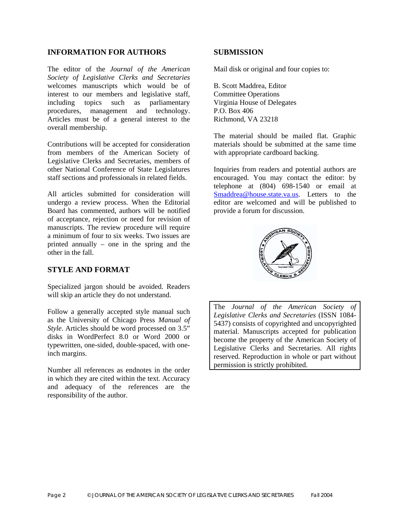#### **INFORMATION FOR AUTHORS**

The editor of the *Journal of the American Society of Legislative Clerks and Secretaries* welcomes manuscripts which would be of interest to our members and legislative staff, including topics such as parliamentary procedures, management and technology. Articles must be of a general interest to the overall membership.

Contributions will be accepted for consideration from members of the American Society of Legislative Clerks and Secretaries, members of other National Conference of State Legislatures staff sections and professionals in related fields.

All articles submitted for consideration will undergo a review process. When the Editorial Board has commented, authors will be notified of acceptance, rejection or need for revision of manuscripts. The review procedure will require a minimum of four to six weeks. Two issues are printed annually – one in the spring and the other in the fall.

### **STYLE AND FORMAT**

Specialized jargon should be avoided. Readers will skip an article they do not understand.

Follow a generally accepted style manual such as the University of Chicago Press *Manual of Style*. Articles should be word processed on 3.5" disks in WordPerfect 8.0 or Word 2000 or typewritten, one-sided, double-spaced, with oneinch margins.

Number all references as endnotes in the order in which they are cited within the text. Accuracy and adequacy of the references are the responsibility of the author.

#### **SUBMISSION**

Mail disk or original and four copies to:

B. Scott Maddrea, Editor Committee Operations Virginia House of Delegates P.O. Box 406 Richmond, VA 23218

The material should be mailed flat. Graphic materials should be submitted at the same time with appropriate cardboard backing.

Inquiries from readers and potential authors are encouraged. You may contact the editor: by telephone at (804) 698-1540 or email at [Smaddrea@house.state.va.us](mailto:Smaddrea@house.state.va.us). Letters to the editor are welcomed and will be published to provide a forum for discussion.



The *Journal of the American Society of Legislative Clerks and Secretaries* (ISSN 1084- 5437) consists of copyrighted and uncopyrighted material. Manuscripts accepted for publication become the property of the American Society of Legislative Clerks and Secretaries. All rights reserved. Reproduction in whole or part without permission is strictly prohibited.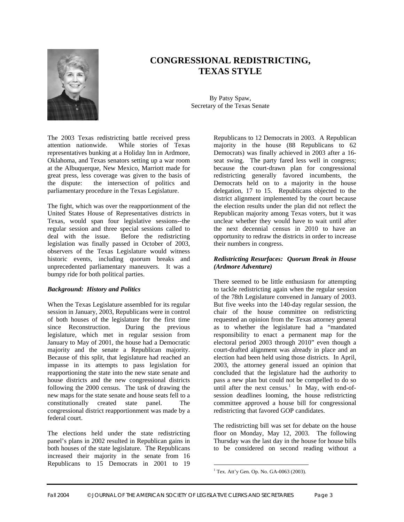

# **CONGRESSIONAL REDISTRICTING, TEXAS STYLE**

By Patsy Spaw, Secretary of the Texas Senate

The 2003 Texas redistricting battle received press attention nationwide. While stories of Texas representatives bunking at a Holiday Inn in Ardmore, Oklahoma, and Texas senators setting up a war room at the Albuquerque, New Mexico, Marriott made for great press, less coverage was given to the basis of the dispute: the intersection of politics and parliamentary procedure in the Texas Legislature.

The fight, which was over the reapportionment of the United States House of Representatives districts in Texas, would span four legislative sessions--the regular session and three special sessions called to deal with the issue. Before the redistricting legislation was finally passed in October of 2003, observers of the Texas Legislature would witness historic events, including quorum breaks and unprecedented parliamentary maneuvers. It was a bumpy ride for both political parties.

#### *Background: History and Politics*

When the Texas Legislature assembled for its regular session in January, 2003, Republicans were in control of both houses of the legislature for the first time since Reconstruction. During the previous legislature, which met in regular session from January to May of 2001, the house had a Democratic majority and the senate a Republican majority. Because of this split, that legislature had reached an impasse in its attempts to pass legislation for reapportioning the state into the new state senate and house districts and the new congressional districts following the 2000 census. The task of drawing the new maps for the state senate and house seats fell to a constitutionally created state panel. The congressional district reapportionment was made by a federal court.

The elections held under the state redistricting panel's plans in 2002 resulted in Republican gains in both houses of the state legislature. The Republicans increased their majority in the senate from 16 Republicans to 15 Democrats in 2001 to 19

Republicans to 12 Democrats in 2003. A Republican majority in the house (88 Republicans to 62 Democrats) was finally achieved in 2003 after a 16 seat swing. The party fared less well in congress; because the court-drawn plan for congressional redistricting generally favored incumbents, the Democrats held on to a majority in the house delegation, 17 to 15. Republicans objected to the district alignment implemented by the court because the election results under the plan did not reflect the Republican majority among Texas voters, but it was unclear whether they would have to wait until after the next decennial census in 2010 to have an opportunity to redraw the districts in order to increase their numbers in congress.

#### *Redistricting Resurfaces: Quorum Break in House (Ardmore Adventure)*

There seemed to be little enthusiasm for attempting to tackle redistricting again when the regular session of the 78th Legislature convened in January of 2003. But five weeks into the 140-day regular session, the chair of the house committee on redistricting requested an opinion from the Texas attorney general as to whether the legislature had a "mandated responsibility to enact a permanent map for the electoral period 2003 through 2010" even though a court-drafted alignment was already in place and an election had been held using those districts. In April, 2003, the attorney general issued an opinion that concluded that the legislature had the authority to pass a new plan but could not be compelled to do so until after the next census.<sup>1</sup> In May, with end-ofsession deadlines looming, the house redistricting committee approved a house bill for congressional redistricting that favored GOP candidates.

The redistricting bill was set for debate on the house floor on Monday, May 12, 2003. The following Thursday was the last day in the house for house bills to be considered on second reading without a

<span id="page-3-0"></span> $1$  Tex. Att'y Gen. Op. No. GA-0063 (2003).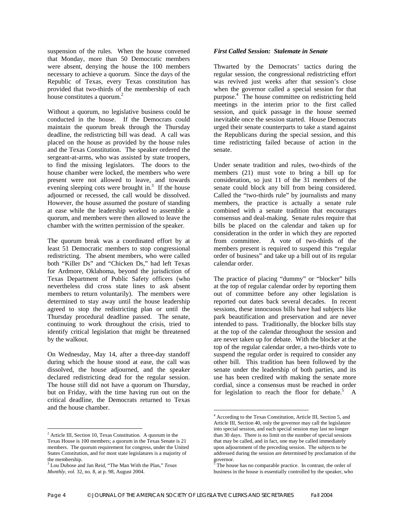suspension of the rules. When the house convened that Monday, more than 50 Democratic members were absent, denying the house the 100 members necessary to achieve a quorum. Since the days of the Republic of Texas, every Texas constitution has provided that two-thirds of the membership of each house constitutes a quorum.<sup>[2](#page-4-0)</sup>

Without a quorum, no legislative business could be conducted in the house. If the Democrats could maintain the quorum break through the Thursday deadline, the redistricting bill was dead. A call was placed on the house as provided by the house rules and the Texas Constitution. The speaker ordered the sergeant-at-arms, who was assisted by state troopers, to find the missing legislators. The doors to the house chamber were locked, the members who were present were not allowed to leave, and towards eveningsleeping cots were brought in.<sup>3</sup> If the house adjourned or recessed, the call would be dissolved. However, the house assumed the posture of standing at ease while the leadership worked to assemble a quorum, and members were then allowed to leave the chamber with the written permission of the speaker.

The quorum break was a coordinated effort by at least 51 Democratic members to stop congressional redistricting. The absent members, who were called both "Killer Ds" and "Chicken Ds," had left Texas for Ardmore, Oklahoma, beyond the jurisdiction of Texas Department of Public Safety officers (who nevertheless did cross state lines to ask absent members to return voluntarily). The members were determined to stay away until the house leadership agreed to stop the redistricting plan or until the Thursday procedural deadline passed. The senate, continuing to work throughout the crisis, tried to identify critical legislation that might be threatened by the walkout.

On Wednesday, May 14, after a three-day standoff during which the house stood at ease, the call was dissolved, the house adjourned, and the speaker declared redistricting dead for the regular session. The house still did not have a quorum on Thursday, but on Friday, with the time having run out on the critical deadline, the Democrats returned to Texas and the house chamber.

#### *First Called Session: Stalemate in Senate*

Thwarted by the Democrats' tactics during the regular session, the congressional redistricting effort was revived just weeks after that session's close when the governor called a special session for that purpose.<sup>4</sup>The house committee on redistricting held meetings in the interim prior to the first called session, and quick passage in the house seemed inevitable once the session started. House Democrats urged their senate counterparts to take a stand against the Republicans during the special session, and this time redistricting failed because of action in the senate.

Under senate tradition and rules, two-thirds of the members (21) must vote to bring a bill up for consideration, so just 11 of the 31 members of the senate could block any bill from being considered. Called the "two-thirds rule" by journalists and many members, the practice is actually a senate rule combined with a senate tradition that encourages consensus and deal-making. Senate rules require that bills be placed on the calendar and taken up for consideration in the order in which they are reported from committee. A vote of two-thirds of the members present is required to suspend this "regular order of business" and take up a bill out of its regular calendar order.

The practice of placing "dummy" or "blocker" bills at the top of regular calendar order by reporting them out of committee before any other legislation is reported out dates back several decades. In recent sessions, these innocuous bills have had subjects like park beautification and preservation and are never intended to pass. Traditionally, the blocker bills stay at the top of the calendar throughout the session and are never taken up for debate. With the blocker at the top of the regular calendar order, a two-thirds vote to suspend the regular order is required to consider any other bill. This tradition has been followed by the senate under the leadership of both parties, and its use has been credited with making the senate more cordial, since a consensus must be reached in order for legislation to reach the floor for debate.<sup>5</sup> A

 $\overline{a}$ 

<span id="page-4-0"></span> 2 Article III, Section 10, Texas Constitution. A quorum in the Texas House is 100 members; a quorum in the Texas Senate is 21 members. The quorum requirement for congress, under the United States Constitution, and for most state legislatures is a majority of the membership.

<span id="page-4-1"></span>Lou Dubose and Jan Reid, "The Man With the Plan," *Texas Monthly, vol.* 32, no. 8, at p. 98, August 2004.

<span id="page-4-2"></span><sup>4</sup> According to the Texas Constitution, Article III, Section 5, and Article III, Section 40, only the governor may call the legislature into special session, and each special session may last no longer than 30 days. There is no limit on the number of special sessions that may be called, and in fact, one may be called immediately upon adjournment of the preceding session. The subjects to be addressed during the session are determined by proclamation of the governor.<br><sup>5</sup> The hou

<span id="page-4-3"></span>The house has no comparable practice. In contrast, the order of business in the house is essentially controlled by the speaker, who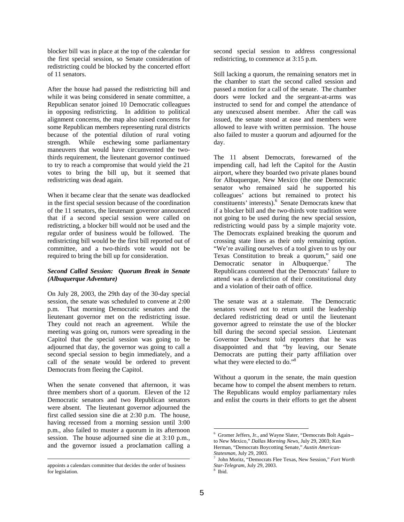blocker bill was in place at the top of the calendar for the first special session, so Senate consideration of redistricting could be blocked by the concerted effort of 11 senators.

After the house had passed the redistricting bill and while it was being considered in senate committee, a Republican senator joined 10 Democratic colleagues in opposing redistricting. In addition to political alignment concerns, the map also raised concerns for some Republican members representing rural districts because of the potential dilution of rural voting strength. While eschewing some parliamentary maneuvers that would have circumvented the twothirds requirement, the lieutenant governor continued to try to reach a compromise that would yield the 21 votes to bring the bill up, but it seemed that redistricting was dead again.

When it became clear that the senate was deadlocked in the first special session because of the coordination of the 11 senators, the lieutenant governor announced that if a second special session were called on redistricting, a blocker bill would not be used and the regular order of business would be followed. The redistricting bill would be the first bill reported out of committee, and a two-thirds vote would not be required to bring the bill up for consideration.

#### *Second Called Session: Quorum Break in Senate (Albuquerque Adventure)*

On July 28, 2003, the 29th day of the 30-day special session, the senate was scheduled to convene at 2:00 p.m. That morning Democratic senators and the lieutenant governor met on the redistricting issue. They could not reach an agreement. While the meeting was going on, rumors were spreading in the Capitol that the special session was going to be adjourned that day, the governor was going to call a second special session to begin immediately, and a call of the senate would be ordered to prevent Democrats from fleeing the Capitol.

When the senate convened that afternoon, it was three members short of a quorum. Eleven of the 12 Democratic senators and two Republican senators were absent. The lieutenant governor adjourned the first called session sine die at 2:30 p.m. The house, having recessed from a morning session until 3:00 p.m., also failed to muster a quorum in its afternoon session. The house adjourned sine die at 3:10 p.m., and the governor issued a proclamation calling a

 $\overline{a}$ 

second special session to address congressional redistricting, to commence at 3:15 p.m.

Still lacking a quorum, the remaining senators met in the chamber to start the second called session and passed a motion for a call of the senate. The chamber doors were locked and the sergeant-at-arms was instructed to send for and compel the attendance of any unexcused absent member. After the call was issued, the senate stood at ease and members were allowed to leave with written permission. The house also failed to muster a quorum and adjourned for the day.

The 11 absent Democrats, forewarned of the impending call, had left the Capitol for the Austin airport, where they boarded two private planes bound for Albuquerque, New Mexico (the one Democratic senator who remained said he supported his colleagues' actions but remained to protect his constituents' interests).<sup>[6](#page-5-0)</sup> Senate Democrats knew that if a blocker bill and the two-thirds vote tradition were not going to be used during the new special session, redistricting would pass by a simple majority vote. The Democrats explained breaking the quorum and crossing state lines as their only remaining option. "We're availing ourselves of a tool given to us by our Texas Constitution to break a quorum," said one Democratic senator in Albuquerque.<sup>7</sup> The Republicans countered that the Democrats' failure to attend was a dereliction of their constitutional duty and a violation of their oath of office.

The senate was at a stalemate. The Democratic senators vowed not to return until the leadership declared redistricting dead or until the lieutenant governor agreed to reinstate the use of the blocker bill during the second special session. Lieutenant Governor Dewhurst told reporters that he was disappointed and that "by leaving, our Senate Democrats are putting their party affiliation over what they were elected to do."<sup>[8](#page-5-2)</sup>

Without a quorum in the senate, the main question became how to compel the absent members to return. The Republicans would employ parliamentary rules and enlist the courts in their efforts to get the absent

appoints a calendars committee that decides the order of business for legislation.

<span id="page-5-0"></span> 6 Gromer Jeffers, Jr., and Wayne Slater, "Democrats Bolt Again- to New Mexico," *Dallas Morning News*, July 29, 2003; Ken Herman, "Democrats Boycotting Senate," *Austin American-Statesman*, July 29, 2003.

<span id="page-5-1"></span><sup>7</sup> John Moritz, "Democrats Flee Texas, New Session," *Fort Worth Star-Telegram*, July 29, 2003.

<span id="page-5-2"></span><sup>8</sup> Ibid.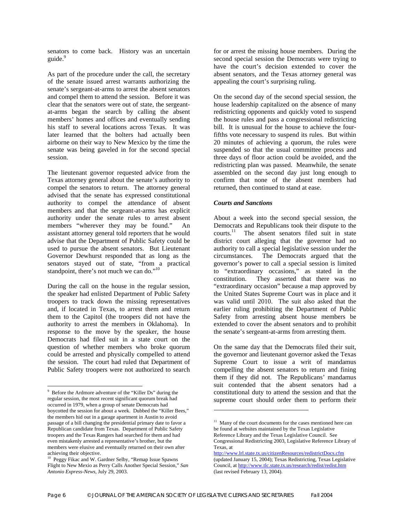senators to come back. History was an uncertain guide.<sup>[9](#page-6-0)</sup>

As part of the procedure under the call, the secretary of the senate issued arrest warrants authorizing the senate's sergeant-at-arms to arrest the absent senators and compel them to attend the session. Before it was clear that the senators were out of state, the sergeantat-arms began the search by calling the absent members' homes and offices and eventually sending his staff to several locations across Texas. It was later learned that the bolters had actually been airborne on their way to New Mexico by the time the senate was being gaveled in for the second special session.

The lieutenant governor requested advice from the Texas attorney general about the senate's authority to compel the senators to return. The attorney general advised that the senate has expressed constitutional authority to compel the attendance of absent members and that the sergeant-at-arms has explicit authority under the senate rules to arrest absent members "wherever they may be found." An assistant attorney general told reporters that he would advise that the Department of Public Safety could be used to pursue the absent senators. But Lieutenant Governor Dewhurst responded that as long as the senators stayed out of state, "from a practical standpoint, there's not much we can do."<sup>[10](#page-6-1)</sup>

During the call on the house in the regular session, the speaker had enlisted Department of Public Safety troopers to track down the missing representatives and, if located in Texas, to arrest them and return them to the Capitol (the troopers did not have the authority to arrest the members in Oklahoma). In response to the move by the speaker, the house Democrats had filed suit in a state court on the question of whether members who broke quorum could be arrested and physically compelled to attend the session. The court had ruled that Department of Public Safety troopers were not authorized to search

for or arrest the missing house members. During the second special session the Democrats were trying to have the court's decision extended to cover the absent senators, and the Texas attorney general was appealing the court's surprising ruling.

On the second day of the second special session, the house leadership capitalized on the absence of many redistricting opponents and quickly voted to suspend the house rules and pass a congressional redistricting bill. It is unusual for the house to achieve the fourfifths vote necessary to suspend its rules. But within 20 minutes of achieving a quorum, the rules were suspended so that the usual committee process and three days of floor action could be avoided, and the redistricting plan was passed. Meanwhile, the senate assembled on the second day just long enough to confirm that none of the absent members had returned, then continued to stand at ease.

#### *Courts and Sanctions*

About a week into the second special session, the Democrats and Republicans took their dispute to the courts.<sup>11</sup> The absent senators filed suit in state district court alleging that the governor had no authority to call a special legislative session under the circumstances. The Democrats argued that the governor's power to call a special session is limited to "extraordinary occasions," as stated in the constitution. They asserted that there was no "extraordinary occasion" because a map approved by the United States Supreme Court was in place and it was valid until 2010. The suit also asked that the earlier ruling prohibiting the Department of Public Safety from arresting absent house members be extended to cover the absent senators and to prohibit the senate's sergeant-at-arms from arresting them.

On the same day that the Democrats filed their suit, the governor and lieutenant governor asked the Texas Supreme Court to issue a writ of mandamus compelling the absent senators to return and fining them if they did not. The Republicans' mandamus suit contended that the absent senators had a constitutional duty to attend the session and that the supreme court should order them to perform their

 $\overline{a}$ 

<span id="page-6-0"></span><sup>&</sup>lt;sup>9</sup> Before the Ardmore adventure of the "Killer Ds" during the regular session, the most recent significant quorum break had occurred in 1979, when a group of senate Democrats had boycotted the session for about a week. Dubbed the "Killer Bees," the members hid out in a garage apartment in Austin to avoid passage of a bill changing the presidential primary date to favor a Republican candidate from Texas. Department of Public Safety troopers and the Texas Rangers had searched for them and had even mistakenly arrested a representative's brother, but the members were elusive and eventually returned on their own after achieving their objective.

<span id="page-6-1"></span>Peggy Fikac and W. Gardner Selby, "Remap Issue Spawns Flight to New Mexio as Perry Calls Another Special Session," *San Antonio Express-News*, July 29, 2003.

<span id="page-6-2"></span> $11$  Many of the court documents for the cases mentioned here can be found at websites maintained by the Texas Legislative Reference Library and the Texas Legislative Council. See Congressional Redistricting 2003, Legislative Reference Library of Texas, at

http://www.lrl.state.tx.us/citizenResources/redistrictDocs.cfm (updated January 15, 2004); Texas Redistricting, Texas Legislative Council, at http://www.tlc.state.tx.us/research/redist/redist.htm (last revised February 13, 2004).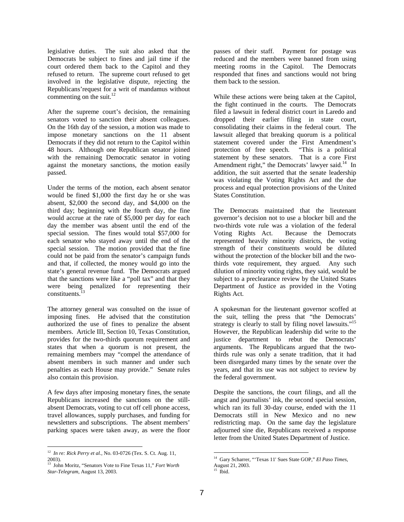legislative duties. The suit also asked that the Democrats be subject to fines and jail time if the court ordered them back to the Capitol and they refused to return. The supreme court refused to get involved in the legislative dispute, rejecting the Republicans'request for a writ of mandamus without commenting on the suit. $^{12}$  $^{12}$  $^{12}$ 

After the supreme court's decision, the remaining senators voted to sanction their absent colleagues. On the 16th day of the session, a motion was made to impose monetary sanctions on the 11 absent Democrats if they did not return to the Capitol within 48 hours. Although one Republican senator joined with the remaining Democratic senator in voting against the monetary sanctions, the motion easily passed.

Under the terms of the motion, each absent senator would be fined \$1,000 the first day he or she was absent, \$2,000 the second day, and \$4,000 on the third day; beginning with the fourth day, the fine would accrue at the rate of \$5,000 per day for each day the member was absent until the end of the special session. The fines would total \$57,000 for each senator who stayed away until the end of the special session. The motion provided that the fine could not be paid from the senator's campaign funds and that, if collected, the money would go into the state's general revenue fund. The Democrats argued that the sanctions were like a "poll tax" and that they were being penalized for representing their constituents.<sup>1</sup>

The attorney general was consulted on the issue of imposing fines. He advised that the constitution authorized the use of fines to penalize the absent members. Article III, Section 10, Texas Constitution, provides for the two-thirds quorum requirement and states that when a quorum is not present, the remaining members may "compel the attendance of absent members in such manner and under such penalties as each House may provide." Senate rules also contain this provision.

A few days after imposing monetary fines, the senate Republicans increased the sanctions on the stillabsent Democrats, voting to cut off cell phone access, travel allowances, supply purchases, and funding for newsletters and subscriptions. The absent members' parking spaces were taken away, as were the floor

passes of their staff. Payment for postage was reduced and the members were banned from using meeting rooms in the Capitol. The Democrats responded that fines and sanctions would not bring them back to the session.

While these actions were being taken at the Capitol, the fight continued in the courts. The Democrats filed a lawsuit in federal district court in Laredo and dropped their earlier filing in state court, consolidating their claims in the federal court. The lawsuit alleged that breaking quorum is a political statement covered under the First Amendment's protection of free speech. "This is a political statement by these senators. That is a core First Amendment right," the Democrats' lawyer said.<sup>14</sup> In addition, the suit asserted that the senate leadership was violating the Voting Rights Act and the due process and equal protection provisions of the United States Constitution.

The Democrats maintained that the lieutenant governor's decision not to use a blocker bill and the two-thirds vote rule was a violation of the federal Voting Rights Act. Because the Democrats represented heavily minority districts, the voting strength of their constituents would be diluted without the protection of the blocker bill and the twothirds vote requirement, they argued. Any such dilution of minority voting rights, they said, would be subject to a preclearance review by the United States Department of Justice as provided in the Voting Rights Act.

A spokesman for the lieutenant governor scoffed at the suit, telling the press that "the Democrats' strategy is clearly to stall by filing novel lawsuits.["15](#page-7-3)  However, the Republican leadership did write to the justice department to rebut the Democrats' arguments. The Republicans argued that the twothirds rule was only a senate tradition, that it had been disregarded many times by the senate over the years, and that its use was not subject to review by the federal government.

Despite the sanctions, the court filings, and all the angst and journalists' ink, the second special session, which ran its full 30-day course, ended with the 11 Democrats still in New Mexico and no new redistricting map. On the same day the legislature adjourned sine die, Republicans received a response letter from the United States Department of Justice.

<span id="page-7-0"></span> <sup>12</sup> *In re: Rick Perry et al.*, No. 03-0726 (Tex. S. Ct. Aug. 11, 2003).

<span id="page-7-1"></span><sup>13</sup> John Moritz, "Senators Vote to Fine Texas 11," *Fort Worth Star-Telegram*, August 13, 2003.

<span id="page-7-2"></span><sup>14</sup> Gary Scharrer, "'Texas 11' Sues State GOP," *El Paso Times*, August 21, 2003.

<span id="page-7-3"></span> $15$  Ibid.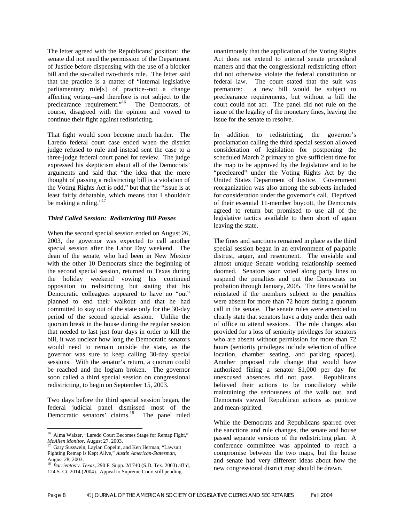The letter agreed with the Republicans' position: the senate did not need the permission of the Department of Justice before dispensing with the use of a blocker bill and the so-called two-thirds rule. The letter said that the practice is a matter of "internal legislative parliamentary rule[s] of practice--not a change affecting voting--and therefore is not subject to the preclearance requirement."<sup>[16](#page-8-0)</sup> The Democrats, of course, disagreed with the opinion and vowed to continue their fight against redistricting.

That fight would soon become much harder. The Laredo federal court case ended when the district judge refused to rule and instead sent the case to a three-judge federal court panel for review. The judge expressed his skepticism about all of the Democrats' arguments and said that "the idea that the mere thought of passing a redistricting bill is a violation of the Voting Rights Act is odd," but that the "issue is at least fairly debatable, which means that I shouldn't be making a ruling." $17$ 

#### *Third Called Session: Redistricting Bill Passes*

When the second special session ended on August 26, 2003, the governor was expected to call another special session after the Labor Day weekend. The dean of the senate, who had been in New Mexico with the other 10 Democrats since the beginning of the second special session, returned to Texas during the holiday weekend vowing his continued opposition to redistricting but stating that his Democratic colleagues appeared to have no "out" planned to end their walkout and that he had committed to stay out of the state only for the 30-day period of the second special session. Unlike the quorum break in the house during the regular session that needed to last just four days in order to kill the bill, it was unclear how long the Democratic senators would need to remain outside the state, as the governor was sure to keep calling 30-day special sessions. With the senator's return, a quorum could be reached and the logjam broken. The governor soon called a third special session on congressional redistricting, to begin on September 15, 2003.

Two days before the third special session began, the federal judicial panel dismissed most of the Democratic senators' claims.<sup>18</sup> The panel ruled unanimously that the application of the Voting Rights Act does not extend to internal senate procedural matters and that the congressional redistricting effort did not otherwise violate the federal constitution or federal law. The court stated that the suit was premature: a new bill would be subject to preclearance requirements, but without a bill the court could not act. The panel did not rule on the issue of the legality of the monetary fines, leaving the issue for the senate to resolve.

In addition to redistricting, the governor's proclamation calling the third special session allowed consideration of legislation for postponing the scheduled March 2 primary to give sufficient time for the map to be approved by the legislature and to be "precleared" under the Voting Rights Act by the United States Department of Justice. Government reorganization was also among the subjects included for consideration under the governor's call. Deprived of their essential 11-member boycott, the Democrats agreed to return but promised to use all of the legislative tactics available to them short of again leaving the state.

The fines and sanctions remained in place as the third special session began in an environment of palpable distrust, anger, and resentment. The enviable and almost unique Senate working relationship seemed doomed. Senators soon voted along party lines to suspend the penalties and put the Democrats on probation through January, 2005. The fines would be reinstated if the members subject to the penalties were absent for more than 72 hours during a quorum call in the senate. The senate rules were amended to clearly state that senators have a duty under their oath of office to attend sessions. The rule changes also provided for a loss of seniority privileges for senators who are absent without permission for more than 72 hours (seniority privileges include selection of office location, chamber seating, and parking spaces). Another proposed rule change that would have authorized fining a senator \$1,000 per day for unexcused absences did not pass. Republicans believed their actions to be conciliatory while maintaining the seriousness of the walk out, and Democrats viewed Republican actions as punitive and mean-spirited.

While the Democrats and Republicans sparred over the sanctions and rule changes, the senate and house passed separate versions of the redistricting plan. A conference committee was appointed to reach a compromise between the two maps, but the house and senate had very different ideas about how the new congressional district map should be drawn.

<span id="page-8-0"></span> $\overline{a}$ <sup>16</sup> Alma Walzer, "Laredo Court Becomes Stage for Remap Fight," *McAllen Monitor*, August 27, 2003.

<span id="page-8-1"></span><sup>&</sup>lt;sup>17</sup> Gary Susswein, Laylan Copelin, and Ken Herman, "Lawsuit Fighting Remap is Kept Alive," *Austin American-Statesman*, August 28, 2003.

<span id="page-8-2"></span><sup>18</sup> *Barrientos v. Texas*, 290 F. Supp. 2d 740 (S.D. Tex. 2003) aff'd, 124 S. Ct. 2014 (2004). Appeal to Supreme Court still pending.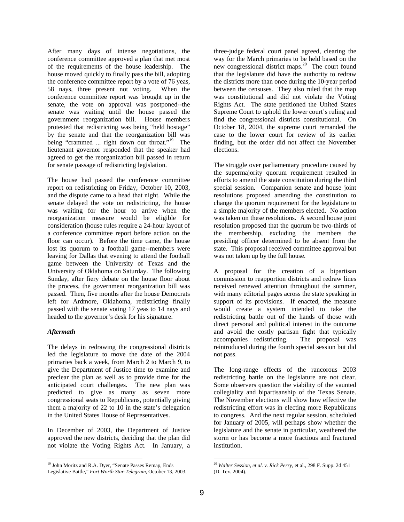After many days of intense negotiations, the conference committee approved a plan that met most of the requirements of the house leadership. The house moved quickly to finally pass the bill, adopting the conference committee report by a vote of 76 yeas, 58 nays, three present not voting. When the conference committee report was brought up in the senate, the vote on approval was postponed--the senate was waiting until the house passed the government reorganization bill. House members protested that redistricting was being "held hostage" by the senate and that the reorganization bill was being "crammed ... right down our throat."<sup>19</sup> The lieutenant governor responded that the speaker had agreed to get the reorganization bill passed in return for senate passage of redistricting legislation.

The house had passed the conference committee report on redistricting on Friday, October 10, 2003, and the dispute came to a head that night. While the senate delayed the vote on redistricting, the house was waiting for the hour to arrive when the reorganization measure would be eligible for consideration (house rules require a 24-hour layout of a conference committee report before action on the floor can occur). Before the time came, the house lost its quorum to a football game--members were leaving for Dallas that evening to attend the football game between the University of Texas and the University of Oklahoma on Saturday. The following Sunday, after fiery debate on the house floor about the process, the government reorganization bill was passed. Then, five months after the house Democrats left for Ardmore, Oklahoma, redistricting finally passed with the senate voting 17 yeas to 14 nays and headed to the governor's desk for his signature.

#### *Aftermath*

The delays in redrawing the congressional districts led the legislature to move the date of the 2004 primaries back a week, from March 2 to March 9, to give the Department of Justice time to examine and preclear the plan as well as to provide time for the anticipated court challenges. The new plan was predicted to give as many as seven more congressional seats to Republicans, potentially giving them a majority of 22 to 10 in the state's delegation in the United States House of Representatives.

In December of 2003, the Department of Justice approved the new districts, deciding that the plan did not violate the Voting Rights Act. In January, a three-judge federal court panel agreed, clearing the way for the March primaries to be held based on the new congressional district maps.<sup>20</sup> The court found that the legislature did have the authority to redraw the districts more than once during the 10-year period between the censuses. They also ruled that the map was constitutional and did not violate the Voting Rights Act. The state petitioned the United States Supreme Court to uphold the lower court's ruling and find the congressional districts constitutional. On October 18, 2004, the supreme court remanded the case to the lower court for review of its earlier finding, but the order did not affect the November elections.

The struggle over parliamentary procedure caused by the supermajority quorum requirement resulted in efforts to amend the state constitution during the third special session. Companion senate and house joint resolutions proposed amending the constitution to change the quorum requirement for the legislature to a simple majority of the members elected. No action was taken on these resolutions. A second house joint resolution proposed that the quorum be two-thirds of the membership, excluding the members the presiding officer determined to be absent from the state. This proposal received committee approval but was not taken up by the full house.

A proposal for the creation of a bipartisan commission to reapportion districts and redraw lines received renewed attention throughout the summer, with many editorial pages across the state speaking in support of its provisions. If enacted, the measure would create a system intended to take the redistricting battle out of the hands of those with direct personal and political interest in the outcome and avoid the costly partisan fight that typically accompanies redistricting. The proposal was reintroduced during the fourth special session but did not pass.

The long-range effects of the rancorous 2003 redistricting battle on the legislature are not clear. Some observers question the viability of the vaunted collegiality and bipartisanship of the Texas Senate. The November elections will show how effective the redistricting effort was in electing more Republicans to congress. And the next regular session, scheduled for January of 2005, will perhaps show whether the legislature and the senate in particular, weathered the storm or has become a more fractious and fractured institution.

<span id="page-9-0"></span> <sup>19</sup> John Moritz and R.A. Dyer, "Senate Passes Remap, Ends Legislative Battle," *Fort Worth Star-Telegram*, October 13, 2003.

<span id="page-9-1"></span><sup>20</sup> *Walter Session, et al. v. Rick Perry*, et al., 298 F. Supp. 2d 451 (D. Tex. 2004).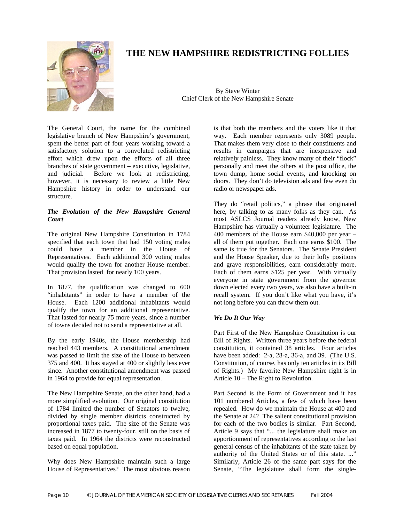

# **THE NEW HAMPSHIRE REDISTRICTING FOLLIES**

By Steve Winter Chief Clerk of the New Hampshire Senate

The General Court, the name for the combined legislative branch of New Hampshire's government, spent the better part of four years working toward a satisfactory solution to a convoluted redistricting effort which drew upon the efforts of all three branches of state government – executive, legislative, and judicial. Before we look at redistricting, however, it is necessary to review a little New Hampshire history in order to understand our structure.

#### *The Evolution of the New Hampshire General Court*

The original New Hampshire Constitution in 1784 specified that each town that had 150 voting males could have a member in the House of Representatives. Each additional 300 voting males would qualify the town for another House member. That provision lasted for nearly 100 years.

In 1877, the qualification was changed to 600 "inhabitants" in order to have a member of the House. Each 1200 additional inhabitants would qualify the town for an additional representative. That lasted for nearly 75 more years, since a number of towns decided not to send a representative at all.

By the early 1940s, the House membership had reached 443 members. A constitutional amendment was passed to limit the size of the House to between 375 and 400. It has stayed at 400 or slightly less ever since. Another constitutional amendment was passed in 1964 to provide for equal representation.

The New Hampshire Senate, on the other hand, had a more simplified evolution. Our original constitution of 1784 limited the number of Senators to twelve, divided by single member districts constructed by proportional taxes paid. The size of the Senate was increased in 1877 to twenty-four, still on the basis of taxes paid. In 1964 the districts were reconstructed based on equal population.

Why does New Hampshire maintain such a large House of Representatives? The most obvious reason is that both the members and the voters like it that way. Each member represents only 3089 people. That makes them very close to their constituents and results in campaigns that are inexpensive and relatively painless. They know many of their "flock" personally and meet the others at the post office, the town dump, home social events, and knocking on doors. They don't do television ads and few even do radio or newspaper ads.

They do "retail politics," a phrase that originated here, by talking to as many folks as they can. As most ASLCS Journal readers already know, New Hampshire has virtually a volunteer legislature. The 400 members of the House earn \$40,000 per year – all of them put together. Each one earns \$100. The same is true for the Senators. The Senate President and the House Speaker, due to their lofty positions and grave responsibilities, earn considerably more. Each of them earns \$125 per year. With virtually everyone in state government from the governor down elected every two years, we also have a built-in recall system. If you don't like what you have, it's not long before you can throw them out.

#### *We Do It Our Way*

Part First of the New Hampshire Constitution is our Bill of Rights. Written three years before the federal constitution, it contained 38 articles. Four articles have been added: 2-a, 28-a, 36-a, and 39. (The U.S. Constitution, of course, has only ten articles in its Bill of Rights.) My favorite New Hampshire right is in Article 10 – The Right to Revolution.

Part Second is the Form of Government and it has 101 numbered Articles, a few of which have been repealed. How do we maintain the House at 400 and the Senate at 24? The salient constitutional provision for each of the two bodies is similar. Part Second, Article 9 says that "... the legislature shall make an apportionment of representatives according to the last general census of the inhabitants of the state taken by authority of the United States or of this state. ..." Similarly, Article 26 of the same part says for the Senate, "The legislature shall form the single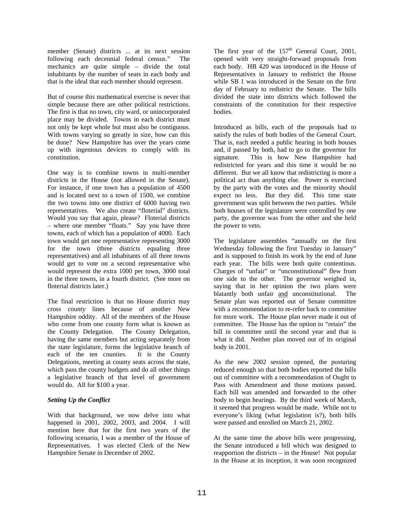member (Senate) districts ... at its next session following each decennial federal census." The mechanics are quite simple – divide the total inhabitants by the number of seats in each body and that is the ideal that each member should represent.

But of course this mathematical exercise is never that simple because there are other political restrictions. The first is that no town, city ward, or unincorporated place may be divided. Towns in each district must not only be kept whole but must also be contiguous. With towns varying so greatly in size, how can this be done? New Hampshire has over the years come up with ingenious devices to comply with its constitution.

One way is to combine towns in multi-member districts in the House (not allowed in the Senate). For instance, if one town has a population of 4500 and is located next to a town of 1500, we combine the two towns into one district of 6000 having two representatives. We also create "floterial" districts. Would you say that again, please? Floterial districts – where one member "floats." Say you have three towns, each of which has a population of 4000. Each town would get one representative representing 3000 for the town (three districts equaling three representatives) and all inhabitants of all three towns would get to vote on a second representative who would represent the extra 1000 per town, 3000 total in the three towns, in a fourth district. (See more on floterial districts later.)

The final restriction is that no House district may cross county lines because of another New Hampshire oddity. All of the members of the House who come from one county form what is known as the County Delegation. The County Delegation, having the same members but acting separately from the state legislature, forms the legislative branch of each of the ten counties. It is the County Delegations, meeting at county seats across the state, which pass the county budgets and do all other things a legislative branch of that level of government would do. All for \$100 a year.

#### *Setting Up the Conflict*

With that background, we now delve into what happened in 2001, 2002, 2003, and 2004. I will mention here that for the first two years of the following scenario, I was a member of the House of Representatives. I was elected Clerk of the New Hampshire Senate in December of 2002.

The first year of the  $157<sup>th</sup>$  General Court, 2001, opened with very straight-forward proposals from each body. HB 420 was introduced in the House of Representatives in January to redistrict the House while SB 1 was introduced in the Senate on the first day of February to redistrict the Senate. The bills divided the state into districts which followed the constraints of the constitution for their respective bodies.

Introduced as bills, each of the proposals had to satisfy the rules of both bodies of the General Court. That is, each needed a public hearing in both houses and, if passed by both, had to go to the governor for signature. This is how New Hampshire had redistricted for years and this time it would be no different. But we all know that redistricting is more a political act than anything else. Power is exercised by the party with the votes and the minority should expect no less. But they did. This time state government was split between the two parties. While both houses of the legislature were controlled by one party, the governor was from the other and she held the power to veto.

The legislature assembles "annually on the first Wednesday following the first Tuesday in January" and is supposed to finish its work by the end of June each year. The bills were both quite contentious. Charges of "unfair" or "unconstitutional" flew from one side to the other. The governor weighed in, saying that in her opinion the two plans were blatantly both unfair and unconstitutional. The Senate plan was reported out of Senate committee with a recommendation to re-refer back to committee for more work. The House plan never made it out of committee. The House has the option to "retain" the bill in committee until the second year and that is what it did. Neither plan moved out of its original body in 2001.

As the new 2002 session opened, the posturing reduced enough so that both bodies reported the bills out of committee with a recommendation of Ought to Pass with Amendment and those motions passed. Each bill was amended and forwarded to the other body to begin hearings. By the third week of March, it seemed that progress would be made. While not to everyone's liking (what legislation is?), both bills were passed and enrolled on March 21, 2002.

At the same time the above bills were progressing, the Senate introduced a bill which was designed to reapportion the districts – in the House! Not popular in the House at its inception, it was soon recognized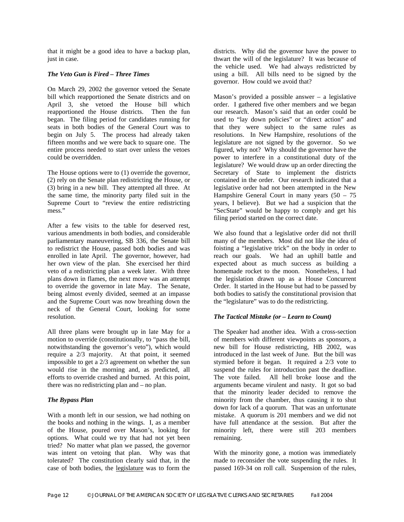that it might be a good idea to have a backup plan, just in case.

#### *The Veto Gun is Fired – Three Times*

On March 29, 2002 the governor vetoed the Senate bill which reapportioned the Senate districts and on April 3, she vetoed the House bill which reapportioned the House districts. Then the fun began. The filing period for candidates running for seats in both bodies of the General Court was to begin on July 5. The process had already taken fifteen months and we were back to square one. The entire process needed to start over unless the vetoes could be overridden.

The House options were to (1) override the governor, (2) rely on the Senate plan redistricting the House, or (3) bring in a new bill. They attempted all three. At the same time, the minority party filed suit in the Supreme Court to "review the entire redistricting mess."

After a few visits to the table for deserved rest, various amendments in both bodies, and considerable parliamentary maneuvering, SB 336, the Senate bill to redistrict the House, passed both bodies and was enrolled in late April. The governor, however, had her own view of the plan. She exercised her third veto of a redistricting plan a week later. With three plans down in flames, the next move was an attempt to override the governor in late May. The Senate, being almost evenly divided, seemed at an impasse and the Supreme Court was now breathing down the neck of the General Court, looking for some resolution.

All three plans were brought up in late May for a motion to override (constitutionally, to "pass the bill, notwithstanding the governor's veto"), which would require a 2/3 majority. At that point, it seemed impossible to get a 2/3 agreement on whether the sun would rise in the morning and, as predicted, all efforts to override crashed and burned. At this point, there was no redistricting plan and – no plan.

#### *The Bypass Plan*

With a month left in our session, we had nothing on the books and nothing in the wings. I, as a member of the House, poured over Mason's, looking for options. What could we try that had not yet been tried? No matter what plan we passed, the governor was intent on vetoing that plan. Why was that tolerated? The constitution clearly said that, in the case of both bodies, the legislature was to form the

districts. Why did the governor have the power to thwart the will of the legislature? It was because of the vehicle used. We had always redistricted by using a bill. All bills need to be signed by the governor. How could we avoid that?

Mason's provided a possible answer – a legislative order. I gathered five other members and we began our research. Mason's said that an order could be used to "lay down policies" or "direct action" and that they were subject to the same rules as resolutions. In New Hampshire, resolutions of the legislature are not signed by the governor. So we figured, why not? Why should the governor have the power to interfere in a constitutional duty of the legislature? We would draw up an order directing the Secretary of State to implement the districts contained in the order. Our research indicated that a legislative order had not been attempted in the New Hampshire General Court in many years  $(50 - 75)$ years, I believe). But we had a suspicion that the "SecState" would be happy to comply and get his filing period started on the correct date.

We also found that a legislative order did not thrill many of the members. Most did not like the idea of foisting a "legislative trick" on the body in order to reach our goals. We had an uphill battle and expected about as much success as building a homemade rocket to the moon. Nonetheless, I had the legislation drawn up as a House Concurrent Order. It started in the House but had to be passed by both bodies to satisfy the constitutional provision that the "legislature" was to do the redistricting.

#### *The Tactical Mistake (or – Learn to Count)*

The Speaker had another idea. With a cross-section of members with different viewpoints as sponsors, a new bill for House redistricting, HB 2002, was introduced in the last week of June. But the bill was stymied before it began. It required a 2/3 vote to suspend the rules for introduction past the deadline. The vote failed. All hell broke loose and the arguments became virulent and nasty. It got so bad that the minority leader decided to remove the minority from the chamber, thus causing it to shut down for lack of a quorum. That was an unfortunate mistake. A quorum is 201 members and we did not have full attendance at the session. But after the minority left, there were still 203 members remaining.

With the minority gone, a motion was immediately made to reconsider the vote suspending the rules. It passed 169-34 on roll call. Suspension of the rules,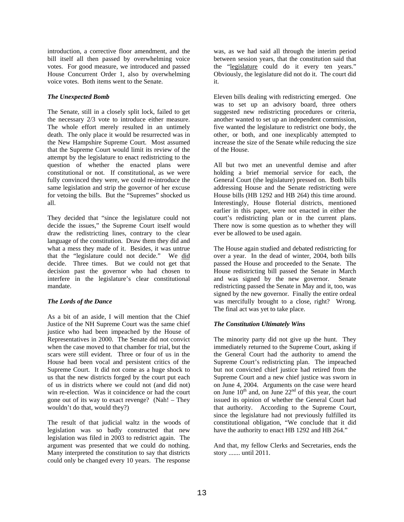introduction, a corrective floor amendment, and the bill itself all then passed by overwhelming voice votes. For good measure, we introduced and passed House Concurrent Order 1, also by overwhelming voice votes. Both items went to the Senate.

#### *The Unexpected Bomb*

The Senate, still in a closely split lock, failed to get the necessary 2/3 vote to introduce either measure. The whole effort merely resulted in an untimely death. The only place it would be resurrected was in the New Hampshire Supreme Court. Most assumed that the Supreme Court would limit its review of the attempt by the legislature to enact redistricting to the question of whether the enacted plans were constitutional or not. If constitutional, as we were fully convinced they were, we could re-introduce the same legislation and strip the governor of her excuse for vetoing the bills. But the "Supremes" shocked us all.

They decided that "since the legislature could not decide the issues," the Supreme Court itself would draw the redistricting lines, contrary to the clear language of the constitution. Draw them they did and what a mess they made of it. Besides, it was untrue that the "legislature could not decide." We did decide. Three times. But we could not get that decision past the governor who had chosen to interfere in the legislature's clear constitutional mandate.

#### *The Lords of the Dance*

As a bit of an aside, I will mention that the Chief Justice of the NH Supreme Court was the same chief justice who had been impeached by the House of Representatives in 2000. The Senate did not convict when the case moved to that chamber for trial, but the scars were still evident. Three or four of us in the House had been vocal and persistent critics of the Supreme Court. It did not come as a huge shock to us that the new districts forged by the court put each of us in districts where we could not (and did not) win re-election. Was it coincidence or had the court gone out of its way to exact revenge? (Nah! – They wouldn't do that, would they?)

The result of that judicial waltz in the woods of legislation was so badly constructed that new legislation was filed in 2003 to redistrict again. The argument was presented that we could do nothing. Many interpreted the constitution to say that districts could only be changed every 10 years. The response

was, as we had said all through the interim period between session years, that the constitution said that the "legislature could do it every ten years." Obviously, the legislature did not do it. The court did it.

Eleven bills dealing with redistricting emerged. One was to set up an advisory board, three others suggested new redistricting procedures or criteria, another wanted to set up an independent commission, five wanted the legislature to redistrict one body, the other, or both, and one inexplicably attempted to increase the size of the Senate while reducing the size of the House.

All but two met an uneventful demise and after holding a brief memorial service for each, the General Court (the legislature) pressed on. Both bills addressing House and the Senate redistricting were House bills (HB 1292 and HB 264) this time around. Interestingly, House floterial districts, mentioned earlier in this paper, were not enacted in either the court's redistricting plan or in the current plans. There now is some question as to whether they will ever be allowed to be used again.

The House again studied and debated redistricting for over a year. In the dead of winter, 2004, both bills passed the House and proceeded to the Senate. The House redistricting bill passed the Senate in March and was signed by the new governor. Senate redistricting passed the Senate in May and it, too, was signed by the new governor. Finally the entire ordeal was mercifully brought to a close, right? Wrong. The final act was yet to take place.

#### *The Constitution Ultimately Wins*

The minority party did not give up the hunt. They immediately returned to the Supreme Court, asking if the General Court had the authority to amend the Supreme Court's redistricting plan. The impeached but not convicted chief justice had retired from the Supreme Court and a new chief justice was sworn in on June 4, 2004. Arguments on the case were heard on June  $10^{th}$  and, on June  $22^{nd}$  of this year, the court issued its opinion of whether the General Court had that authority. According to the Supreme Court, since the legislature had not previously fulfilled its constitutional obligation, "We conclude that it did have the authority to enact HB 1292 and HB 264."

And that, my fellow Clerks and Secretaries, ends the story ....... until 2011.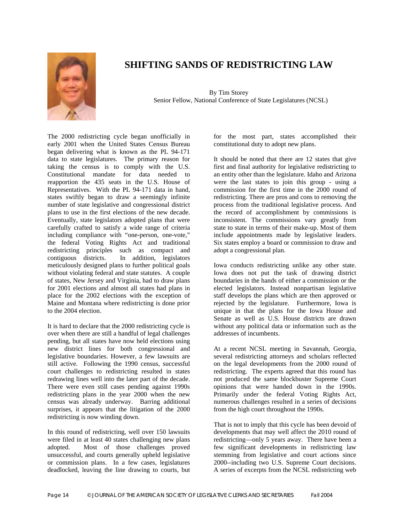

# **SHIFTING SANDS OF REDISTRICTING LAW**

By Tim Storey Senior Fellow, National Conference of State Legislatures (NCSL)

The 2000 redistricting cycle began unofficially in early 2001 when the United States Census Bureau began delivering what is known as the PL 94-171 data to state legislatures. The primary reason for taking the census is to comply with the U.S. Constitutional mandate for data needed to reapportion the 435 seats in the U.S. House of Representatives. With the PL 94-171 data in hand, states swiftly began to draw a seemingly infinite number of state legislative and congressional district plans to use in the first elections of the new decade. Eventually, state legislators adopted plans that were carefully crafted to satisfy a wide range of criteria including compliance with "one-person, one-vote," the federal Voting Rights Act and traditional redistricting principles such as compact and contiguous districts. In addition, legislators meticulously designed plans to further political goals without violating federal and state statutes. A couple of states, New Jersey and Virginia, had to draw plans for 2001 elections and almost all states had plans in place for the 2002 elections with the exception of Maine and Montana where redistricting is done prior to the 2004 election.

It is hard to declare that the 2000 redistricting cycle is over when there are still a handful of legal challenges pending, but all states have now held elections using new district lines for both congressional and legislative boundaries. However, a few lawsuits are still active. Following the 1990 census, successful court challenges to redistricting resulted in states redrawing lines well into the later part of the decade. There were even still cases pending against 1990s redistricting plans in the year 2000 when the new census was already underway. Barring additional surprises, it appears that the litigation of the 2000 redistricting is now winding down.

In this round of redistricting, well over 150 lawsuits were filed in at least 40 states challenging new plans adopted. Most of those challenges proved unsuccessful, and courts generally upheld legislative or commission plans. In a few cases, legislatures deadlocked, leaving the line drawing to courts, but

for the most part, states accomplished their constitutional duty to adopt new plans.

It should be noted that there are 12 states that give first and final authority for legislative redistricting to an entity other than the legislature. Idaho and Arizona were the last states to join this group - using a commission for the first time in the 2000 round of redistricting. There are pros and cons to removing the process from the traditional legislative process. And the record of accomplishment by commissions is inconsistent. The commissions vary greatly from state to state in terms of their make-up. Most of them include appointments made by legislative leaders. Six states employ a board or commission to draw and adopt a congressional plan.

Iowa conducts redistricting unlike any other state. Iowa does not put the task of drawing district boundaries in the hands of either a commission or the elected legislators. Instead nonpartisan legislative staff develops the plans which are then approved or rejected by the legislature. Furthermore, Iowa is unique in that the plans for the Iowa House and Senate as well as U.S. House districts are drawn without any political data or information such as the addresses of incumbents.

At a recent NCSL meeting in Savannah, Georgia, several redistricting attorneys and scholars reflected on the legal developments from the 2000 round of redistricting. The experts agreed that this round has not produced the same blockbuster Supreme Court opinions that were handed down in the 1990s. Primarily under the federal Voting Rights Act, numerous challenges resulted in a series of decisions from the high court throughout the 1990s.

That is not to imply that this cycle has been devoid of developments that may well affect the 2010 round of redistricting—only 5 years away. There have been a few significant developments in redistricting law stemming from legislative and court actions since 2000--including two U.S. Supreme Court decisions. A series of excerpts from the NCSL redistricting web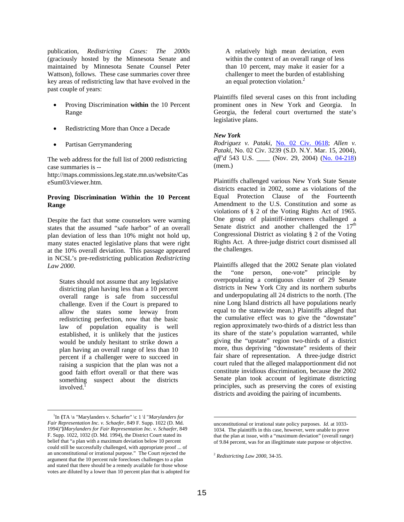publication, *Redistricting Cases: The 2000s* (graciously hosted by the Minnesota Senate and maintained by Minnesota Senate Counsel Peter Wattson), follows. These case summaries cover three key areas of redistricting law that have evolved in the past couple of years:

- Proving Discrimination **within** the 10 Percent Range
- Redistricting More than Once a Decade
- Partisan Gerrymandering

The web address for the full list of 2000 redistricting case summaries is --

http://maps.commissions.leg.state.mn.us/website/Cas eSum03/viewer.htm.

#### **Proving Discrimination Within the 10 Percent Range**

Despite the fact that some counselors were warning states that the assumed "safe harbor" of an overall plan deviation of less than 10% might not hold up, many states enacted legislative plans that were right at the 10% overall deviation. This passage appeared in NCSL's pre-redistricting publication *Redistricting Law 2000*.

States should not assume that any legislative districting plan having less than a 10 percent overall range is safe from successful challenge. Even if the Court is prepared to allow the states some leeway from redistricting perfection, now that the basic law of population equality is well established, it is unlikely that the justices would be unduly hesitant to strike down a plan having an overall range of less than 10 percent if a challenger were to succeed in raising a suspicion that the plan was not a good faith effort overall or that there was something suspect about the districts involved.<sup>[1](#page-15-0)</sup>

A relatively high mean deviation, even within the context of an overall range of less than 10 percent, may make it easier for a challenger to meet the burden of establishing an equal protection violation.<sup>2</sup>

Plaintiffs filed several cases on this front including prominent ones in New York and Georgia. In Georgia, the federal court overturned the state's legislative plans.

#### *New York*

*Rodriguez v. Pataki*, No. 02 Civ. 0618; *Allen v. Pataki*, No. 02 Civ. 3239 (S.D. N.Y. Mar. 15, 2004), *aff'd* 543 U.S. \_\_\_\_ (Nov. 29, 2004) (No. 04-218) (mem.)

Plaintiffs challenged various New York State Senate districts enacted in 2002, some as violations of the Equal Protection Clause of the Fourteenth Amendment to the U.S. Constitution and some as violations of § 2 of the Voting Rights Act of 1965. One group of plaintiff-interveners challenged a Senate district and another challenged the  $17<sup>th</sup>$ Congressional District as violating § 2 of the Voting Rights Act. A three-judge district court dismissed all the challenges.

Plaintiffs alleged that the 2002 Senate plan violated the "one person, one-vote" principle by overpopulating a contiguous cluster of 29 Senate districts in New York City and its northern suburbs and underpopulating all 24 districts to the north. (The nine Long Island districts all have populations nearly equal to the statewide mean.) Plaintiffs alleged that the cumulative effect was to give the "downstate" region approximately two-thirds of a district less than its share of the state's population warranted, while giving the "upstate" region two-thirds of a district more, thus depriving "downstate" residents of their fair share of representation. A three-judge district court ruled that the alleged malapportionment did not constitute invidious discrimination, because the 2002 Senate plan took account of legitimate districting principles, such as preserving the cores of existing districts and avoiding the pairing of incumbents.

 $\overline{a}$ 

<span id="page-15-0"></span> $\frac{1}{1}$ In **{**TA \s "Marylanders v. Schaefer" \c 1 \l "*Marylanders for Fair Representation Inc. v. Schaefer,* 849 F. Supp. 1022 (D. Md. 1994)"**}***Marylanders for Fair Representation Inc. v. Schaefer*, 849 F. Supp. 1022, 1032 (D. Md. 1994), the District Court stated its belief that "a plan with a maximum deviation below 10 percent could still be successfully challenged, with appropriate proof ... of an unconstitutional or irrational purpose." The Court rejected the argument that the 10 percent rule forecloses challenges to a plan and stated that there should be a remedy available for those whose votes are diluted by a lower than 10 percent plan that is adopted for

unconstitutional or irrational state policy purposes. *Id.* at 1033- 1034. The plaintiffs in this case, however, were unable to prove that the plan at issue, with a "maximum deviation" (overall range) of 9.84 percent, was for an illegitimate state purpose or objective.

<span id="page-15-1"></span><sup>2</sup> *Redistricting Law 2000*, 34-35.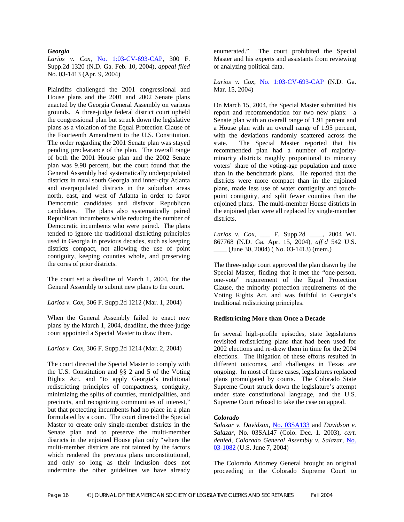#### *Georgia*

Larios v. Cox, No. 1:03-CV-693-CAP, 300 F. Supp.2d 1320 (N.D. Ga. Feb. 10, 2004), *appeal filed* No. 03-1413 (Apr. 9, 2004)

Plaintiffs challenged the 2001 congressional and House plans and the 2001 and 2002 Senate plans enacted by the Georgia General Assembly on various grounds. A three-judge federal district court upheld the congressional plan but struck down the legislative plans as a violation of the Equal Protection Clause of the Fourteenth Amendment to the U.S. Constitution. The order regarding the 2001 Senate plan was stayed pending preclearance of the plan. The overall range of both the 2001 House plan and the 2002 Senate plan was 9.98 percent, but the court found that the General Assembly had systematically underpopulated districts in rural south Georgia and inner-city Atlanta and overpopulated districts in the suburban areas north, east, and west of Atlanta in order to favor Democratic candidates and disfavor Republican candidates. The plans also systematically paired Republican incumbents while reducing the number of Democratic incumbents who were paired. The plans tended to ignore the traditional districting principles used in Georgia in previous decades, such as keeping districts compact, not allowing the use of point contiguity, keeping counties whole, and preserving the cores of prior districts.

The court set a deadline of March 1, 2004, for the General Assembly to submit new plans to the court.

*Larios v. Cox*, 306 F. Supp.2d 1212 (Mar. 1, 2004)

When the General Assembly failed to enact new plans by the March 1, 2004, deadline, the three-judge court appointed a Special Master to draw them.

*Larios v. Cox*, 306 F. Supp.2d 1214 (Mar. 2, 2004)

The court directed the Special Master to comply with the U.S. Constitution and §§ 2 and 5 of the Voting Rights Act, and "to apply Georgia's traditional redistricting principles of compactness, contiguity, minimizing the splits of counties, municipalities, and precincts, and recognizing communities of interest," but that protecting incumbents had no place in a plan formulated by a court. The court directed the Special Master to create only single-member districts in the Senate plan and to preserve the multi-member districts in the enjoined House plan only "where the multi-member districts are not tainted by the factors which rendered the previous plans unconstitutional, and only so long as their inclusion does not undermine the other guidelines we have already

enumerated." The court prohibited the Special Master and his experts and assistants from reviewing or analyzing political data.

*Larios v. Cox*, No. 1:03-CV-693-CAP (N.D. Ga. Mar. 15, 2004)

On March 15, 2004, the Special Master submitted his report and recommendation for two new plans: a Senate plan with an overall range of 1.91 percent and a House plan with an overall range of 1.95 percent, with the deviations randomly scattered across the state. The Special Master reported that his recommended plan had a number of majorityminority districts roughly proportional to minority voters' share of the voting-age population and more than in the benchmark plans. He reported that the districts were more compact than in the enjoined plans, made less use of water contiguity and touchpoint contiguity, and split fewer counties than the enjoined plans. The multi-member House districts in the enjoined plan were all replaced by single-member districts.

*Larios v. Cox*, \_\_\_ F. Supp.2d \_\_\_\_, 2004 WL 867768 (N.D. Ga. Apr. 15, 2004), *aff'd* 542 U.S.  $\frac{\text{[June 30, 2004)} }{\text{[No. 03-1413)} }$  (mem.)

The three-judge court approved the plan drawn by the Special Master, finding that it met the "one-person, one-vote" requirement of the Equal Protection Clause, the minority protection requirements of the Voting Rights Act, and was faithful to Georgia's traditional redistricting principles.

#### **Redistricting More than Once a Decade**

In several high-profile episodes, state legislatures revisited redistricting plans that had been used for 2002 elections and re-drew them in time for the 2004 elections. The litigation of these efforts resulted in different outcomes, and challenges in Texas are ongoing. In most of these cases, legislatures replaced plans promulgated by courts. The Colorado State Supreme Court struck down the legislature's attempt under state constitutional language, and the U.S. Supreme Court refused to take the case on appeal.

#### *Colorado*

*Salazar v. Davidson*, No. 03SA133 and *Davidson v. Salazar*, No. 03SA147 (Colo. Dec. 1. 2003), *cert. denied, Colorado General Assembly v. Salazar*, No. 03-1082 (U.S. June 7, 2004)

The Colorado Attorney General brought an original proceeding in the Colorado Supreme Court to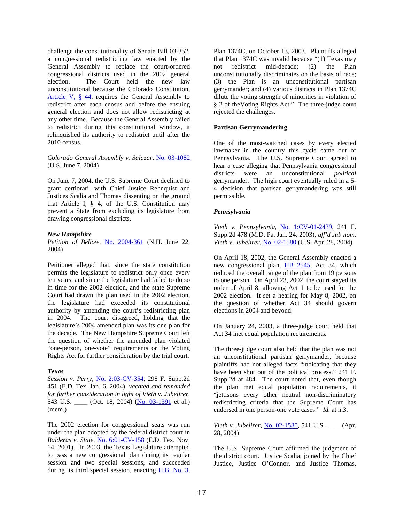challenge the constitutionality of Senate Bill 03-352, a congressional redistricting law enacted by the General Assembly to replace the court-ordered congressional districts used in the 2002 general election. The Court held the new law unconstitutional because the Colorado Constitution, Article V, § 44, requires the General Assembly to redistrict after each census and before the ensuing general election and does not allow redistricting at any other time. Because the General Assembly failed to redistrict during this constitutional window, it relinquished its authority to redistrict until after the 2010 census.

#### *Colorado General Assembly v. Salazar*, No. 03-1082 (U.S. June 7, 2004)

On June 7, 2004, the U.S. Supreme Court declined to grant certiorari, with Chief Justice Rehnquist and Justices Scalia and Thomas dissenting on the ground that Article I, § 4, of the U.S. Constitution may prevent a State from excluding its legislature from drawing congressional districts.

#### *New Hampshire*

*Petition of Bellow*, No. 2004-361 (N.H. June 22, 2004)

Petitioner alleged that, since the state constitution permits the legislature to redistrict only once every ten years, and since the legislature had failed to do so in time for the 2002 election, and the state Supreme Court had drawn the plan used in the 2002 election, the legislature had exceeded its constitutional authority by amending the court's redistricting plan in 2004. The court disagreed, holding that the legislature's 2004 amended plan was its one plan for the decade. The New Hampshire Supreme Court left the question of whether the amended plan violated "one-person, one-vote" requirements or the Voting Rights Act for further consideration by the trial court.

#### *Texas*

*Session v. Perry*, No. 2:03-CV-354, 298 F. Supp.2d 451 (E.D. Tex. Jan. 6, 2004), *vacated and remanded for further consideration in light of Vieth v. Jubelirer*, 543 U.S. \_\_\_\_\_ (Oct. 18, 2004) (No. 03-1391 et al.) (mem.)

The 2002 election for congressional seats was run under the plan adopted by the federal district court in *Balderas v. State*, No. 6:01-CV-158 (E.D. Tex. Nov. 14, 2001). In 2003, the Texas Legislature attempted to pass a new congressional plan during its regular session and two special sessions, and succeeded during its third special session, enacting H.B. No. 3,

Plan 1374C, on October 13, 2003. Plaintiffs alleged that Plan 1374C was invalid because "(1) Texas may not redistrict mid-decade; (2) the Plan unconstitutionally discriminates on the basis of race; (3) the Plan is an unconstitutional partisan gerrymander; and (4) various districts in Plan 1374C dilute the voting strength of minorities in violation of § 2 of theVoting Rights Act." The three-judge court rejected the challenges.

#### **Partisan Gerrymandering**

One of the most-watched cases by every elected lawmaker in the country this cycle came out of Pennsylvania. The U.S. Supreme Court agreed to hear a case alleging that Pennsylvania congressional districts were an unconstitutional *political* gerrymander. The high court eventually ruled in a 5- 4 decision that partisan gerrymandering was still permissible.

#### *Pennsylvania*

*Vieth v. Pennsylvania*, No. 1:CV-01-2439, 241 F. Supp.2d 478 (M.D. Pa. Jan. 24, 2003), *aff'd sub nom. Vieth v. Jubelirer*, No. 02-1580 (U.S. Apr. 28, 2004)

On April 18, 2002, the General Assembly enacted a new congressional plan, **HB 2545**, Act 34, which reduced the overall range of the plan from 19 persons to one person. On April 23, 2002, the court stayed its order of April 8, allowing Act 1 to be used for the 2002 election. It set a hearing for May 8, 2002, on the question of whether Act 34 should govern elections in 2004 and beyond.

On January 24, 2003, a three-judge court held that Act 34 met equal population requirements.

The three-judge court also held that the plan was not an unconstitutional partisan gerrymander, because plaintiffs had not alleged facts "indicating that they have been shut out of the political process." 241 F. Supp.2d at 484. The court noted that, even though the plan met equal population requirements, it "jettisons every other neutral non-discriminatory redistricting criteria that the Supreme Court has endorsed in one person-one vote cases." *Id.* at n.3.

*Vieth v. Jubelirer*, *No.* 02-1580, 541 U.S. \_\_\_\_ (Apr. 28, 2004)

The U.S. Supreme Court affirmed the judgment of the district court. Justice Scalia, joined by the Chief Justice, Justice O'Connor, and Justice Thomas,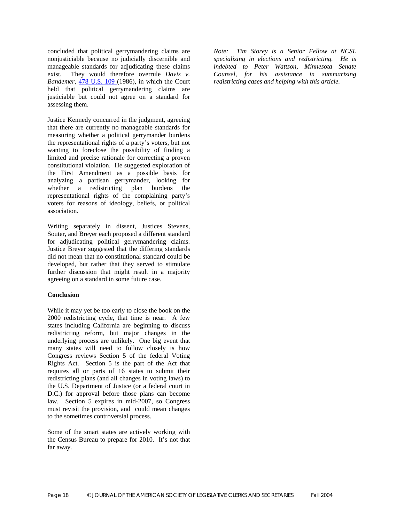concluded that political gerrymandering claims are nonjusticiable because no judicially discernible and manageable standards for adjudicating these claims exist. They would therefore overrule *Davis v. Bandemer*, 478 U.S. 109 (1986), in which the Court held that political gerrymandering claims are justiciable but could not agree on a standard for assessing them.

Justice Kennedy concurred in the judgment, agreeing that there are currently no manageable standards for measuring whether a political gerrymander burdens the representational rights of a party's voters, but not wanting to foreclose the possibility of finding a limited and precise rationale for correcting a proven constitutional violation. He suggested exploration of the First Amendment as a possible basis for analyzing a partisan gerrymander, looking for whether a redistricting plan burdens the representational rights of the complaining party's voters for reasons of ideology, beliefs, or political association.

Writing separately in dissent, Justices Stevens, Souter, and Breyer each proposed a different standard for adjudicating political gerrymandering claims. Justice Breyer suggested that the differing standards did not mean that no constitutional standard could be developed, but rather that they served to stimulate further discussion that might result in a majority agreeing on a standard in some future case.

#### **Conclusion**

While it may yet be too early to close the book on the 2000 redistricting cycle, that time is near. A few states including California are beginning to discuss redistricting reform, but major changes in the underlying process are unlikely. One big event that many states will need to follow closely is how Congress reviews Section 5 of the federal Voting Rights Act. Section 5 is the part of the Act that requires all or parts of 16 states to submit their redistricting plans (and all changes in voting laws) to the U.S. Department of Justice (or a federal court in D.C.) for approval before those plans can become law. Section 5 expires in mid-2007, so Congress must revisit the provision, and could mean changes to the sometimes controversial process.

Some of the smart states are actively working with the Census Bureau to prepare for 2010. It's not that far away.

*Note: Tim Storey is a Senior Fellow at NCSL specializing in elections and redistricting. He is indebted to Peter Wattson, Minnesota Senate Counsel, for his assistance in summarizing redistricting cases and helping with this article.*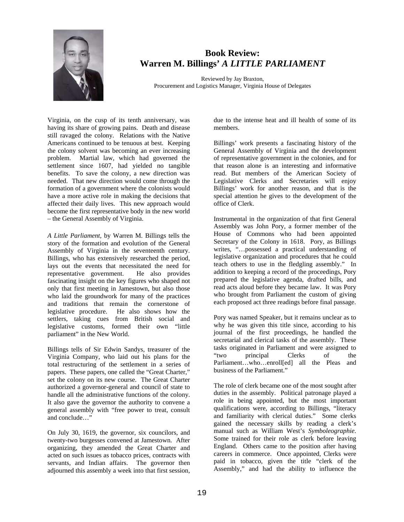

# **Book Review: Warren M. Billings'** *A LITTLE PARLIAMENT*

Reviewed by Jay Braxton, Procurement and Logistics Manager, Virginia House of Delegates

Virginia, on the cusp of its tenth anniversary, was having its share of growing pains. Death and disease still ravaged the colony. Relations with the Native Americans continued to be tenuous at best. Keeping the colony solvent was becoming an ever increasing problem. Martial law, which had governed the settlement since 1607, had yielded no tangible benefits. To save the colony, a new direction was needed. That new direction would come through the formation of a government where the colonists would have a more active role in making the decisions that affected their daily lives. This new approach would become the first representative body in the new world – the General Assembly of Virginia.

*A Little Parliament,* by Warren M. Billings tells the story of the formation and evolution of the General Assembly of Virginia in the seventeenth century. Billings, who has extensively researched the period, lays out the events that necessitated the need for representative government. He also provides representative government. fascinating insight on the key figures who shaped not only that first meeting in Jamestown, but also those who laid the groundwork for many of the practices and traditions that remain the cornerstone of legislative procedure. He also shows how the settlers, taking cues from British social and legislative customs, formed their own "little parliament" in the New World.

Billings tells of Sir Edwin Sandys, treasurer of the Virginia Company, who laid out his plans for the total restructuring of the settlement in a series of papers. These papers, one called the "Great Charter," set the colony on its new course. The Great Charter authorized a governor-general and council of state to handle all the administrative functions of the colony. It also gave the governor the authority to convene a general assembly with "free power to treat, consult and conclude…"

On July 30, 1619, the governor, six councilors, and twenty-two burgesses convened at Jamestown. After organizing, they amended the Great Charter and acted on such issues as tobacco prices, contracts with servants, and Indian affairs. The governor then adjourned this assembly a week into that first session,

due to the intense heat and ill health of some of its members.

Billings' work presents a fascinating history of the General Assembly of Virginia and the development of representative government in the colonies, and for that reason alone is an interesting and informative read. But members of the American Society of Legislative Clerks and Secretaries will enjoy Billings' work for another reason, and that is the special attention he gives to the development of the office of Clerk.

Instrumental in the organization of that first General Assembly was John Pory, a former member of the House of Commons who had been appointed Secretary of the Colony in 1618. Pory, as Billings writes, "…possessed a practical understanding of legislative organization and procedures that he could teach others to use in the fledgling assembly." In addition to keeping a record of the proceedings, Pory prepared the legislative agenda, drafted bills, and read acts aloud before they became law. It was Pory who brought from Parliament the custom of giving each proposed act three readings before final passage.

Pory was named Speaker, but it remains unclear as to why he was given this title since, according to his journal of the first proceedings, he handled the secretarial and clerical tasks of the assembly. These tasks originated in Parliament and were assigned to "two principal Clerks of the Parliament…who…enroll[ed] all the Pleas and business of the Parliament."

The role of clerk became one of the most sought after duties in the assembly. Political patronage played a role in being appointed, but the most important qualifications were, according to Billings, "literacy and familiarity with clerical duties." Some clerks gained the necessary skills by reading a clerk's manual such as William West's *Symboleographie*. Some trained for their role as clerk before leaving England. Others came to the position after having careers in commerce. Once appointed, Clerks were paid in tobacco, given the title "clerk of the Assembly," and had the ability to influence the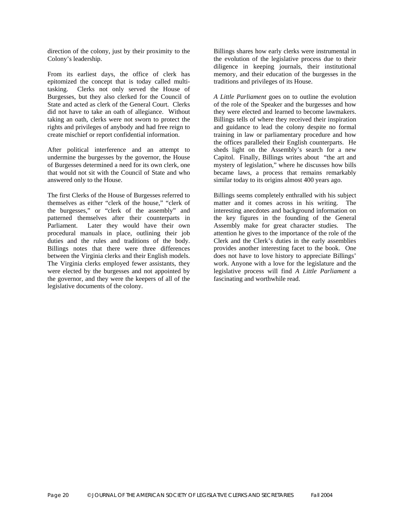direction of the colony, just by their proximity to the Colony's leadership.

From its earliest days, the office of clerk has epitomized the concept that is today called multitasking. Clerks not only served the House of Burgesses, but they also clerked for the Council of State and acted as clerk of the General Court. Clerks did not have to take an oath of allegiance. Without taking an oath, clerks were not sworn to protect the rights and privileges of anybody and had free reign to create mischief or report confidential information.

After political interference and an attempt to undermine the burgesses by the governor, the House of Burgesses determined a need for its own clerk, one that would not sit with the Council of State and who answered only to the House.

The first Clerks of the House of Burgesses referred to themselves as either "clerk of the house," "clerk of the burgesses," or "clerk of the assembly" and patterned themselves after their counterparts in Parliament. Later they would have their own procedural manuals in place, outlining their job duties and the rules and traditions of the body. Billings notes that there were three differences between the Virginia clerks and their English models. The Virginia clerks employed fewer assistants, they were elected by the burgesses and not appointed by the governor, and they were the keepers of all of the legislative documents of the colony.

Billings shares how early clerks were instrumental in the evolution of the legislative process due to their diligence in keeping journals, their institutional memory, and their education of the burgesses in the traditions and privileges of its House.

*A Little Parliament* goes on to outline the evolution of the role of the Speaker and the burgesses and how they were elected and learned to become lawmakers. Billings tells of where they received their inspiration and guidance to lead the colony despite no formal training in law or parliamentary procedure and how the offices paralleled their English counterparts. He sheds light on the Assembly's search for a new Capitol. Finally, Billings writes about "the art and mystery of legislation," where he discusses how bills became laws, a process that remains remarkably similar today to its origins almost 400 years ago.

Billings seems completely enthralled with his subject matter and it comes across in his writing. The interesting anecdotes and background information on the key figures in the founding of the General Assembly make for great character studies. The attention he gives to the importance of the role of the Clerk and the Clerk's duties in the early assemblies provides another interesting facet to the book. One does not have to love history to appreciate Billings' work. Anyone with a love for the legislature and the legislative process will find *A Little Parliament* a fascinating and worthwhile read.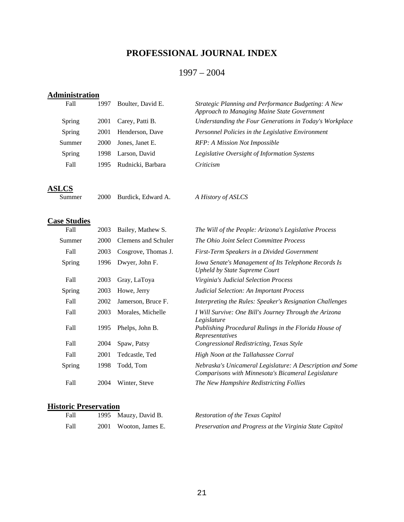# **PROFESSIONAL JOURNAL INDEX**

## 1997 – 2004

## **Administration**

| Fall   | 1997 | Boulter, David E. | Strategic Planning and Performance Budgeting: A New<br>Approach to Managing Maine State Government |
|--------|------|-------------------|----------------------------------------------------------------------------------------------------|
| Spring | 2001 | Carey, Patti B.   | Understanding the Four Generations in Today's Workplace                                            |
| Spring | 2001 | Henderson, Dave   | Personnel Policies in the Legislative Environment                                                  |
| Summer | 2000 | Jones, Janet E.   | RFP: A Mission Not Impossible                                                                      |
| Spring | 1998 | Larson, David     | Legislative Oversight of Information Systems                                                       |
| Fall   | 1995 | Rudnicki, Barbara | Criticism                                                                                          |
|        |      |                   |                                                                                                    |

**ASLCS**

Summer 2000 Burdick, Edward A. *A History of ASLCS* 

## **Case Studies**

| Fall   | 2003 | Bailey, Mathew S.   | The Will of the People: Arizona's Legislative Process                                                           |
|--------|------|---------------------|-----------------------------------------------------------------------------------------------------------------|
| Summer | 2000 | Clemens and Schuler | The Ohio Joint Select Committee Process                                                                         |
| Fall   | 2003 | Cosgrove, Thomas J. | First-Term Speakers in a Divided Government                                                                     |
| Spring | 1996 | Dwyer, John F.      | Iowa Senate's Management of Its Telephone Records Is<br><b>Upheld by State Supreme Court</b>                    |
| Fall   | 2003 | Gray, LaToya        | Virginia's Judicial Selection Process                                                                           |
| Spring | 2003 | Howe, Jerry         | Judicial Selection: An Important Process                                                                        |
| Fall   | 2002 | Jamerson, Bruce F.  | Interpreting the Rules: Speaker's Resignation Challenges                                                        |
| Fall   | 2003 | Morales, Michelle   | I Will Survive: One Bill's Journey Through the Arizona<br>Legislature                                           |
| Fall   | 1995 | Phelps, John B.     | Publishing Procedural Rulings in the Florida House of<br>Representatives                                        |
| Fall   | 2004 | Spaw, Patsy         | Congressional Redistricting, Texas Style                                                                        |
| Fall   | 2001 | Tedcastle, Ted      | High Noon at the Tallahassee Corral                                                                             |
| Spring | 1998 | Todd, Tom           | Nebraska's Unicameral Legislature: A Description and Some<br>Comparisons with Minnesota's Bicameral Legislature |
| Fall   | 2004 | Winter, Steve       | The New Hampshire Redistricting Follies                                                                         |

## **Historic Preservation**

| Fall | 1995 Mauzy, David B.  | Restoration of the Texas Capitol                        |
|------|-----------------------|---------------------------------------------------------|
| Fall | 2001 Wooton, James E. | Preservation and Progress at the Virginia State Capitol |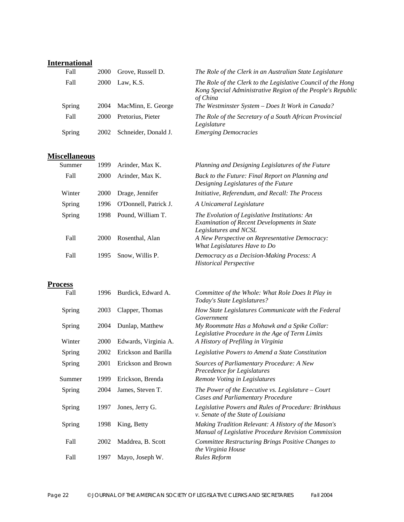# **International**

| Fall   | 2000 | Grove, Russell D.    | The Role of the Clerk in an Australian State Legislature                                                                                |
|--------|------|----------------------|-----------------------------------------------------------------------------------------------------------------------------------------|
| Fall   | 2000 | Law, K.S.            | The Role of the Clerk to the Legislative Council of the Hong<br>Kong Special Administrative Region of the People's Republic<br>of China |
| Spring | 2004 | MacMinn, E. George   | The Westminster System - Does It Work in Canada?                                                                                        |
| Fall   | 2000 | Pretorius, Pieter    | The Role of the Secretary of a South African Provincial<br>Legislature                                                                  |
| Spring | 2002 | Schneider, Donald J. | <b>Emerging Democracies</b>                                                                                                             |

## **Miscellaneous**

| Summer | 1999        | Arinder, Max K.       | Planning and Designing Legislatures of the Future                                                                            |
|--------|-------------|-----------------------|------------------------------------------------------------------------------------------------------------------------------|
| Fall   | <b>2000</b> | Arinder, Max K.       | Back to the Future: Final Report on Planning and<br>Designing Legislatures of the Future                                     |
| Winter | <b>2000</b> | Drage, Jennifer       | Initiative, Referendum, and Recall: The Process                                                                              |
| Spring | 1996        | O'Donnell, Patrick J. | A Unicameral Legislature                                                                                                     |
| Spring | 1998        | Pound, William T.     | The Evolution of Legislative Institutions: An<br><b>Examination of Recent Developments in State</b><br>Legislatures and NCSL |
| Fall   | 2000        | Rosenthal, Alan       | A New Perspective on Representative Democracy:<br>What Legislatures Have to Do                                               |
| Fall   | 1995        | Snow, Willis P.       | Democracy as a Decision-Making Process: A<br><b>Historical Perspective</b>                                                   |

## **Process**

| Fall          | 1996 | Burdick, Edward A.   | Committee of the Whole: What Role Does It Play in<br>Today's State Legislatures?                           |
|---------------|------|----------------------|------------------------------------------------------------------------------------------------------------|
| Spring        | 2003 | Clapper, Thomas      | How State Legislatures Communicate with the Federal<br>Government                                          |
| Spring        | 2004 | Dunlap, Matthew      | My Roommate Has a Mohawk and a Spike Collar:<br>Legislative Procedure in the Age of Term Limits            |
| Winter        | 2000 | Edwards, Virginia A. | A History of Prefiling in Virginia                                                                         |
| <b>Spring</b> | 2002 | Erickson and Barilla | Legislative Powers to Amend a State Constitution                                                           |
| Spring        | 2001 | Erickson and Brown   | Sources of Parliamentary Procedure: A New<br>Precedence for Legislatures                                   |
| Summer        | 1999 | Erickson, Brenda     | Remote Voting in Legislatures                                                                              |
| Spring        | 2004 | James, Steven T.     | The Power of the Executive vs. Legislature $-$ Court<br><b>Cases and Parliamentary Procedure</b>           |
| Spring        | 1997 | Jones, Jerry G.      | Legislative Powers and Rules of Procedure: Brinkhaus<br>v. Senate of the State of Louisiana                |
| Spring        | 1998 | King, Betty          | Making Tradition Relevant: A History of the Mason's<br>Manual of Legislative Procedure Revision Commission |
| Fall          | 2002 | Maddrea, B. Scott    | Committee Restructuring Brings Positive Changes to<br>the Virginia House                                   |
| Fall          | 1997 | Mayo, Joseph W.      | Rules Reform                                                                                               |